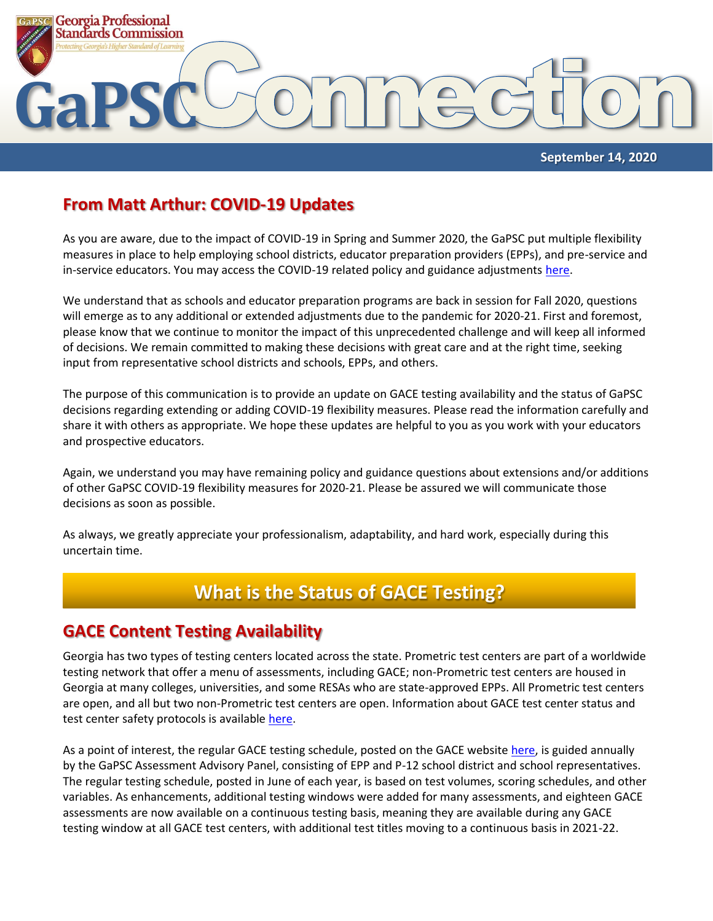

 **September 14, 2020**

#### **From Matt Arthur: COVID-19 Updates**

As you are aware, due to the impact of COVID-19 in Spring and Summer 2020, the GaPSC put multiple flexibility measures in place to help employing school districts, educator preparation providers (EPPs), and pre-service and in-service educators. You may access the COVID-19 related policy and guidance adjustments [here.](https://www.gapsc.com/COVID-19/Updates.aspx)

We understand that as schools and educator preparation programs are back in session for Fall 2020, questions will emerge as to any additional or extended adjustments due to the pandemic for 2020-21. First and foremost, please know that we continue to monitor the impact of this unprecedented challenge and will keep all informed of decisions. We remain committed to making these decisions with great care and at the right time, seeking input from representative school districts and schools, EPPs, and others.

The purpose of this communication is to provide an update on GACE testing availability and the status of GaPSC decisions regarding extending or adding COVID-19 flexibility measures. Please read the information carefully and share it with others as appropriate. We hope these updates are helpful to you as you work with your educators and prospective educators.

Again, we understand you may have remaining policy and guidance questions about extensions and/or additions of other GaPSC COVID-19 flexibility measures for 2020-21. Please be assured we will communicate those decisions as soon as possible.

As always, we greatly appreciate your professionalism, adaptability, and hard work, especially during this uncertain time.

# **What is the Status of GACE Testing?**

#### **GACE Content Testing Availability**

Georgia has two types of testing centers located across the state. Prometric test centers are part of a worldwide testing network that offer a menu of assessments, including GACE; non-Prometric test centers are housed in Georgia at many colleges, universities, and some RESAs who are state-approved EPPs. All Prometric test centers are open, and all but two non-Prometric test centers are open. Information about GACE test center status and test center safety protocols is availabl[e here.](https://www.ets.org/s/cv/gace/the-americas/)

As a point of interest, the regular GACE testing schedule, posted on the GACE website [here,](https://gace.ets.org/s/pdf/gace_testing_windows_score_reporting_dates.pdf) is guided annually by the GaPSC Assessment Advisory Panel, consisting of EPP and P-12 school district and school representatives. The regular testing schedule, posted in June of each year, is based on test volumes, scoring schedules, and other variables. As enhancements, additional testing windows were added for many assessments, and eighteen GACE assessments are now available on a continuous testing basis, meaning they are available during any GACE testing window at all GACE test centers, with additional test titles moving to a continuous basis in 2021-22.